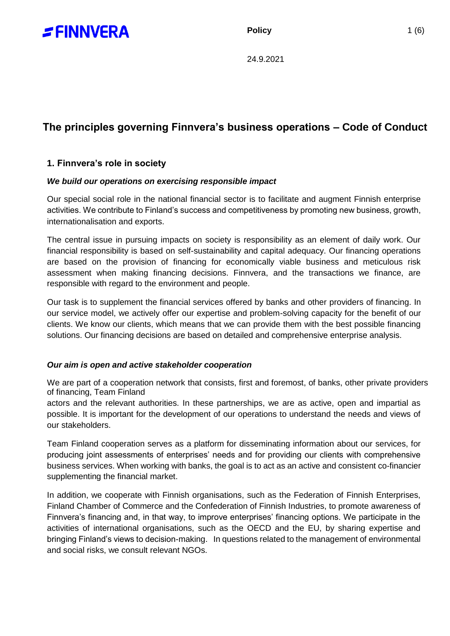

**Policy** 1 (6)

24.9.2021

# **The principles governing Finnvera's business operations – Code of Conduct**

# **1. Finnvera's role in society**

## *We build our operations on exercising responsible impact*

Our special social role in the national financial sector is to facilitate and augment Finnish enterprise activities. We contribute to Finland's success and competitiveness by promoting new business, growth, internationalisation and exports.

The central issue in pursuing impacts on society is responsibility as an element of daily work. Our financial responsibility is based on self-sustainability and capital adequacy. Our financing operations are based on the provision of financing for economically viable business and meticulous risk assessment when making financing decisions. Finnvera, and the transactions we finance, are responsible with regard to the environment and people.

Our task is to supplement the financial services offered by banks and other providers of financing. In our service model, we actively offer our expertise and problem-solving capacity for the benefit of our clients. We know our clients, which means that we can provide them with the best possible financing solutions. Our financing decisions are based on detailed and comprehensive enterprise analysis.

#### *Our aim is open and active stakeholder cooperation*

We are part of a cooperation network that consists, first and foremost, of banks, other private providers of financing, Team Finland

actors and the relevant authorities. In these partnerships, we are as active, open and impartial as possible. It is important for the development of our operations to understand the needs and views of our stakeholders.

Team Finland cooperation serves as a platform for disseminating information about our services, for producing joint assessments of enterprises' needs and for providing our clients with comprehensive business services. When working with banks, the goal is to act as an active and consistent co-financier supplementing the financial market.

In addition, we cooperate with Finnish organisations, such as the Federation of Finnish Enterprises, Finland Chamber of Commerce and the Confederation of Finnish Industries, to promote awareness of Finnvera's financing and, in that way, to improve enterprises' financing options. We participate in the activities of international organisations, such as the OECD and the EU, by sharing expertise and bringing Finland's views to decision-making. In questions related to the management of environmental and social risks, we consult relevant NGOs.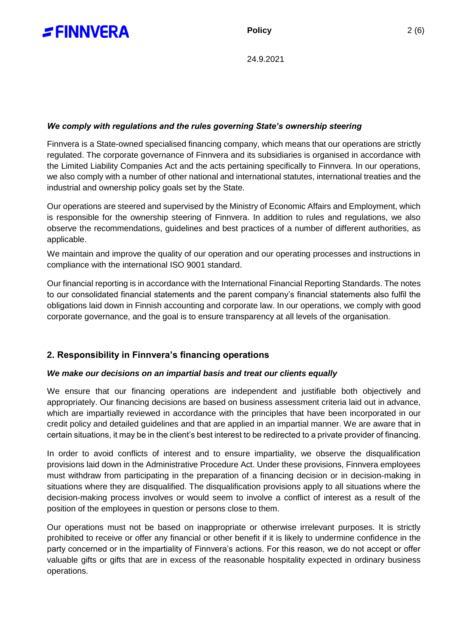

## *We comply with regulations and the rules governing State's ownership steering*

Finnvera is a State-owned specialised financing company, which means that our operations are strictly regulated. The corporate governance of Finnvera and its subsidiaries is organised in accordance with the Limited Liability Companies Act and the acts pertaining specifically to Finnvera. In our operations, we also comply with a number of other national and international statutes, international treaties and the industrial and ownership policy goals set by the State.

Our operations are steered and supervised by the Ministry of Economic Affairs and Employment, which is responsible for the ownership steering of Finnvera. In addition to rules and regulations, we also observe the recommendations, guidelines and best practices of a number of different authorities, as applicable.

We maintain and improve the quality of our operation and our operating processes and instructions in compliance with the international ISO 9001 standard.

Our financial reporting is in accordance with the International Financial Reporting Standards. The notes to our consolidated financial statements and the parent company's financial statements also fulfil the obligations laid down in Finnish accounting and corporate law. In our operations, we comply with good corporate governance, and the goal is to ensure transparency at all levels of the organisation.

# **2. Responsibility in Finnvera's financing operations**

#### *We make our decisions on an impartial basis and treat our clients equally*

We ensure that our financing operations are independent and justifiable both objectively and appropriately. Our financing decisions are based on business assessment criteria laid out in advance, which are impartially reviewed in accordance with the principles that have been incorporated in our credit policy and detailed guidelines and that are applied in an impartial manner. We are aware that in certain situations, it may be in the client's best interest to be redirected to a private provider of financing.

In order to avoid conflicts of interest and to ensure impartiality, we observe the disqualification provisions laid down in the Administrative Procedure Act. Under these provisions, Finnvera employees must withdraw from participating in the preparation of a financing decision or in decision-making in situations where they are disqualified. The disqualification provisions apply to all situations where the decision-making process involves or would seem to involve a conflict of interest as a result of the position of the employees in question or persons close to them.

Our operations must not be based on inappropriate or otherwise irrelevant purposes. It is strictly prohibited to receive or offer any financial or other benefit if it is likely to undermine confidence in the party concerned or in the impartiality of Finnvera's actions. For this reason, we do not accept or offer valuable gifts or gifts that are in excess of the reasonable hospitality expected in ordinary business operations.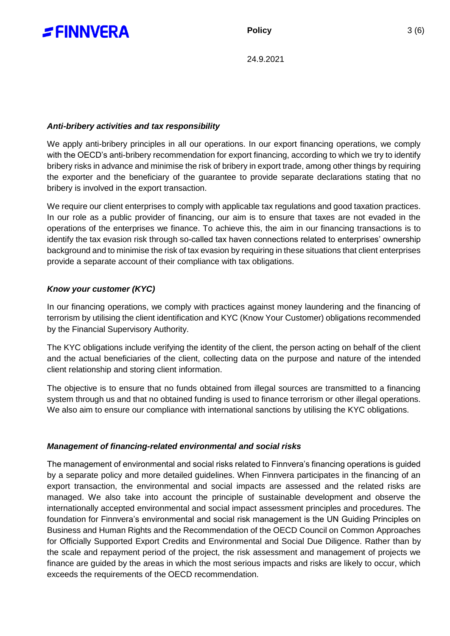

## *Anti-bribery activities and tax responsibility*

We apply anti-bribery principles in all our operations. In our export financing operations, we comply with the OECD's anti-bribery recommendation for export financing, according to which we try to identify bribery risks in advance and minimise the risk of bribery in export trade, among other things by requiring the exporter and the beneficiary of the guarantee to provide separate declarations stating that no bribery is involved in the export transaction.

We require our client enterprises to comply with applicable tax regulations and good taxation practices. In our role as a public provider of financing, our aim is to ensure that taxes are not evaded in the operations of the enterprises we finance. To achieve this, the aim in our financing transactions is to identify the tax evasion risk through so-called tax haven connections related to enterprises' ownership background and to minimise the risk of tax evasion by requiring in these situations that client enterprises provide a separate account of their compliance with tax obligations.

## *Know your customer (KYC)*

In our financing operations, we comply with practices against money laundering and the financing of terrorism by utilising the client identification and KYC (Know Your Customer) obligations recommended by the Financial Supervisory Authority.

The KYC obligations include verifying the identity of the client, the person acting on behalf of the client and the actual beneficiaries of the client, collecting data on the purpose and nature of the intended client relationship and storing client information.

The objective is to ensure that no funds obtained from illegal sources are transmitted to a financing system through us and that no obtained funding is used to finance terrorism or other illegal operations. We also aim to ensure our compliance with international sanctions by utilising the KYC obligations.

#### *Management of financing-related environmental and social risks*

The management of environmental and social risks related to Finnvera's financing operations is guided by a separate policy and more detailed guidelines. When Finnvera participates in the financing of an export transaction, the environmental and social impacts are assessed and the related risks are managed. We also take into account the principle of sustainable development and observe the internationally accepted environmental and social impact assessment principles and procedures. The foundation for Finnvera's environmental and social risk management is the UN Guiding Principles on Business and Human Rights and the Recommendation of the OECD Council on Common Approaches for Officially Supported Export Credits and Environmental and Social Due Diligence. Rather than by the scale and repayment period of the project, the risk assessment and management of projects we finance are guided by the areas in which the most serious impacts and risks are likely to occur, which exceeds the requirements of the OECD recommendation.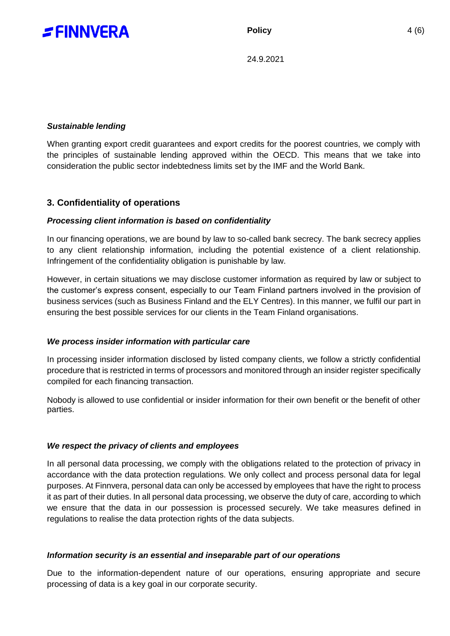

## *Sustainable lending*

When granting export credit guarantees and export credits for the poorest countries, we comply with the principles of sustainable lending approved within the OECD. This means that we take into consideration the public sector indebtedness limits set by the IMF and the World Bank.

# **3. Confidentiality of operations**

#### *Processing client information is based on confidentiality*

In our financing operations, we are bound by law to so-called bank secrecy. The bank secrecy applies to any client relationship information, including the potential existence of a client relationship. Infringement of the confidentiality obligation is punishable by law.

However, in certain situations we may disclose customer information as required by law or subject to the customer's express consent, especially to our Team Finland partners involved in the provision of business services (such as Business Finland and the ELY Centres). In this manner, we fulfil our part in ensuring the best possible services for our clients in the Team Finland organisations.

#### *We process insider information with particular care*

In processing insider information disclosed by listed company clients, we follow a strictly confidential procedure that is restricted in terms of processors and monitored through an insider register specifically compiled for each financing transaction.

Nobody is allowed to use confidential or insider information for their own benefit or the benefit of other parties.

#### *We respect the privacy of clients and employees*

In all personal data processing, we comply with the obligations related to the protection of privacy in accordance with the data protection regulations. We only collect and process personal data for legal purposes. At Finnvera, personal data can only be accessed by employees that have the right to process it as part of their duties. In all personal data processing, we observe the duty of care, according to which we ensure that the data in our possession is processed securely. We take measures defined in regulations to realise the data protection rights of the data subjects.

#### *Information security is an essential and inseparable part of our operations*

Due to the information-dependent nature of our operations, ensuring appropriate and secure processing of data is a key goal in our corporate security.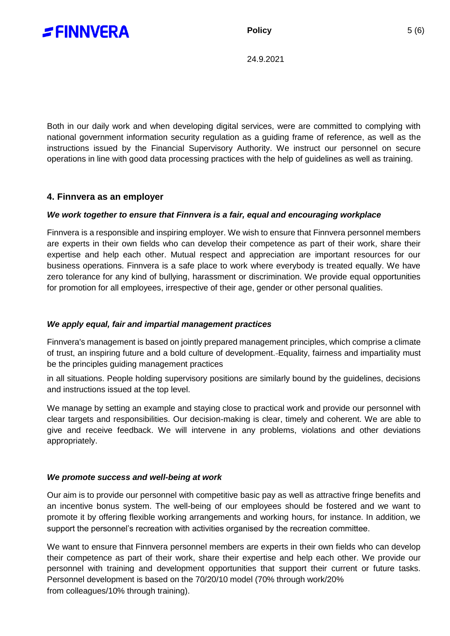

Both in our daily work and when developing digital services, were are committed to complying with national government information security regulation as a guiding frame of reference, as well as the instructions issued by the Financial Supervisory Authority. We instruct our personnel on secure operations in line with good data processing practices with the help of guidelines as well as training.

# **4. Finnvera as an employer**

## *We work together to ensure that Finnvera is a fair, equal and encouraging workplace*

Finnvera is a responsible and inspiring employer. We wish to ensure that Finnvera personnel members are experts in their own fields who can develop their competence as part of their work, share their expertise and help each other. Mutual respect and appreciation are important resources for our business operations. Finnvera is a safe place to work where everybody is treated equally. We have zero tolerance for any kind of bullying, harassment or discrimination. We provide equal opportunities for promotion for all employees, irrespective of their age, gender or other personal qualities.

# *We apply equal, fair and impartial management practices*

Finnvera's management is based on jointly prepared management principles, which comprise a climate of trust, an inspiring future and a bold culture of development. Equality, fairness and impartiality must be the principles guiding management practices

in all situations. People holding supervisory positions are similarly bound by the guidelines, decisions and instructions issued at the top level.

We manage by setting an example and staying close to practical work and provide our personnel with clear targets and responsibilities. Our decision-making is clear, timely and coherent. We are able to give and receive feedback. We will intervene in any problems, violations and other deviations appropriately.

#### *We promote success and well-being at work*

Our aim is to provide our personnel with competitive basic pay as well as attractive fringe benefits and an incentive bonus system. The well-being of our employees should be fostered and we want to promote it by offering flexible working arrangements and working hours, for instance. In addition, we support the personnel's recreation with activities organised by the recreation committee.

We want to ensure that Finnvera personnel members are experts in their own fields who can develop their competence as part of their work, share their expertise and help each other. We provide our personnel with training and development opportunities that support their current or future tasks. Personnel development is based on the 70/20/10 model (70% through work/20% from colleagues/10% through training).